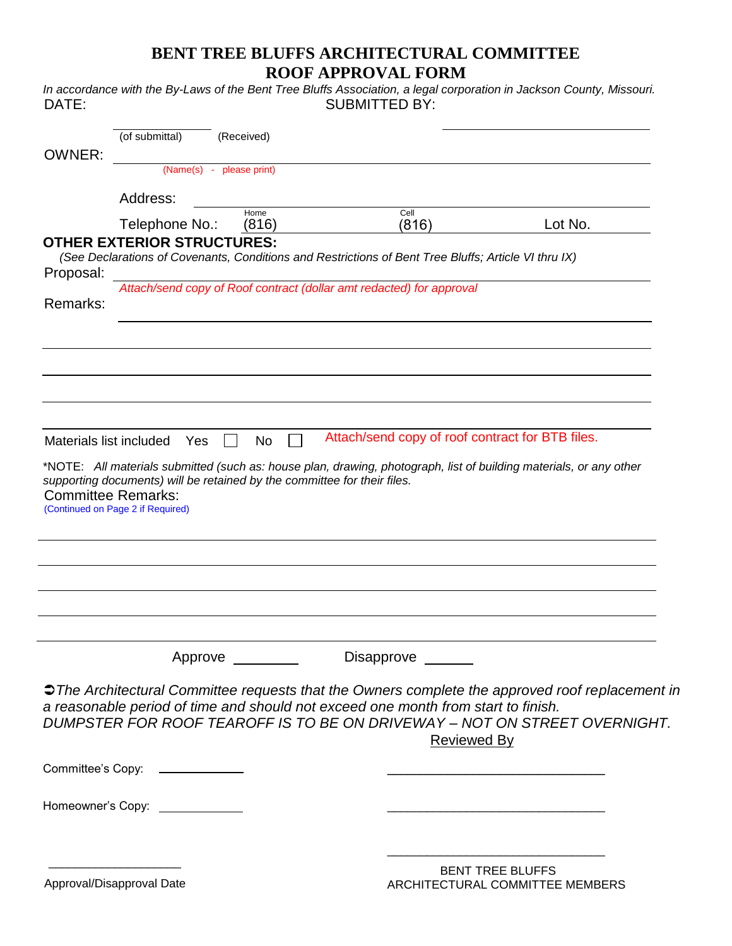## **BENT TREE BLUFFS ARCHITECTURAL COMMITTEE ROOF APPROVAL FORM**

*In accordance with the By-Laws of the Bent Tree Bluffs Association, a legal corporation in Jackson County, Missouri.* DATE: SUBMITTED BY:

|                         | (of submittal)                                                 | (Received)                                                               |                                                                                                                    |                                                                                                                       |
|-------------------------|----------------------------------------------------------------|--------------------------------------------------------------------------|--------------------------------------------------------------------------------------------------------------------|-----------------------------------------------------------------------------------------------------------------------|
| <b>OWNER:</b>           | (Name(s) - please print)                                       |                                                                          |                                                                                                                    |                                                                                                                       |
|                         | Address:                                                       |                                                                          |                                                                                                                    |                                                                                                                       |
|                         | Telephone No.:                                                 | Home<br>(816)                                                            | Cell<br>(816)                                                                                                      | Lot No.                                                                                                               |
|                         | <b>OTHER EXTERIOR STRUCTURES:</b>                              |                                                                          | (See Declarations of Covenants, Conditions and Restrictions of Bent Tree Bluffs; Article VI thru IX)               |                                                                                                                       |
| Proposal:               |                                                                |                                                                          | Attach/send copy of Roof contract (dollar amt redacted) for approval                                               |                                                                                                                       |
| Remarks:                |                                                                |                                                                          |                                                                                                                    |                                                                                                                       |
|                         |                                                                |                                                                          |                                                                                                                    |                                                                                                                       |
|                         |                                                                |                                                                          |                                                                                                                    |                                                                                                                       |
|                         |                                                                |                                                                          |                                                                                                                    |                                                                                                                       |
| Materials list included | Yes                                                            | No                                                                       | Attach/send copy of roof contract for BTB files.                                                                   |                                                                                                                       |
|                         |                                                                |                                                                          | *NOTE: All materials submitted (such as: house plan, drawing, photograph, list of building materials, or any other |                                                                                                                       |
|                         | <b>Committee Remarks:</b><br>(Continued on Page 2 if Required) | supporting documents) will be retained by the committee for their files. |                                                                                                                    |                                                                                                                       |
|                         |                                                                |                                                                          |                                                                                                                    |                                                                                                                       |
|                         |                                                                |                                                                          |                                                                                                                    |                                                                                                                       |
|                         |                                                                |                                                                          |                                                                                                                    |                                                                                                                       |
|                         |                                                                |                                                                          |                                                                                                                    |                                                                                                                       |
|                         |                                                                | Approve ________                                                         | Disapprove ______                                                                                                  |                                                                                                                       |
|                         |                                                                |                                                                          |                                                                                                                    | → The Architectural Committee requests that the Owners complete the approved roof replacement in                      |
|                         |                                                                |                                                                          | a reasonable period of time and should not exceed one month from start to finish.<br><b>Reviewed By</b>            | DUMPSTER FOR ROOF TEAROFF IS TO BE ON DRIVEWAY - NOT ON STREET OVERNIGHT.                                             |
|                         | Committee's Copy: _______________                              |                                                                          |                                                                                                                    |                                                                                                                       |
|                         | Homeowner's Copy: ______________                               |                                                                          |                                                                                                                    | <u> 2000 - Jan James James James James James James James James James James James James James James James James Ja</u> |
|                         |                                                                |                                                                          |                                                                                                                    |                                                                                                                       |
|                         | Approval/Disapproval Date                                      |                                                                          |                                                                                                                    | BENT TREE BLUFFS<br>ARCHITECTURAL COMMITTEE MEMBERS                                                                   |